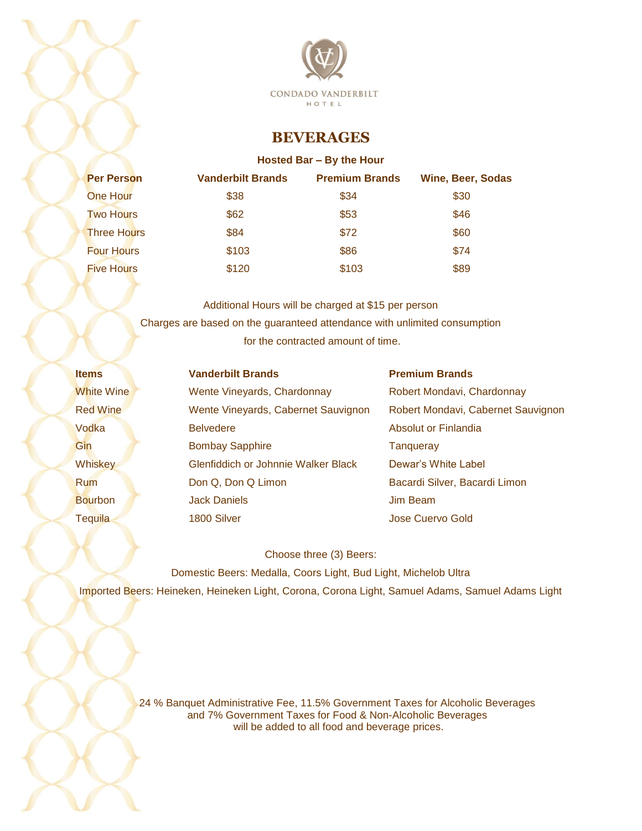

## **BEVERAGES**

## **Hosted Bar – By the Hour**

| <b>Per Person</b>  | <b>Vanderbilt Brands</b> | <b>Premium Brands</b> | <b>Wine, Beer, Sodas</b> |
|--------------------|--------------------------|-----------------------|--------------------------|
| <b>One Hour</b>    | \$38                     | \$34                  | \$30                     |
| <b>Two Hours</b>   | \$62                     | \$53                  | \$46                     |
| <b>Three Hours</b> | \$84                     | \$72                  | \$60                     |
| <b>Four Hours</b>  | \$103                    | \$86                  | \$74                     |
| <b>Five Hours</b>  | \$120                    | \$103                 | \$89                     |

Additional Hours will be charged at \$15 per person Charges are based on the guaranteed attendance with unlimited consumption for the contracted amount of time.

| <b>Items</b>    | <b>Vanderbilt Brands</b>            | <b>Premium Brands</b>              |
|-----------------|-------------------------------------|------------------------------------|
| White Wine      | Wente Vineyards, Chardonnay         | Robert Mondavi, Chardonnay         |
| <b>Red Wine</b> | Wente Vineyards, Cabernet Sauvignon | Robert Mondavi, Cabernet Sauvignon |
| Vodka           | <b>Belvedere</b>                    | Absolut or Finlandia               |
| Gin             | <b>Bombay Sapphire</b>              | Tangueray                          |
| Whiskey         | Glenfiddich or Johnnie Walker Black | Dewar's White Label                |
| <b>Rum</b>      | Don Q, Don Q Limon                  | Bacardi Silver, Bacardi Limon      |
| <b>Bourbon</b>  | <b>Jack Daniels</b>                 | <b>Jim Beam</b>                    |
| <b>Tequila</b>  | 1800 Silver                         | Jose Cuervo Gold                   |

Choose three (3) Beers:

Domestic Beers: Medalla, Coors Light, Bud Light, Michelob Ultra Imported Beers: Heineken, Heineken Light, Corona, Corona Light, Samuel Adams, Samuel Adams Light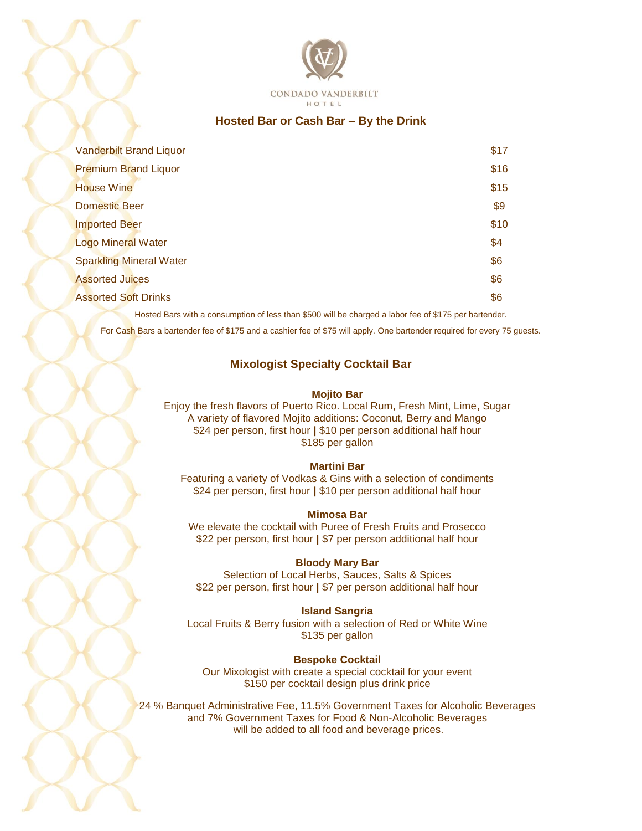

## **Hosted Bar or Cash Bar – By the Drink**

| <b>Vanderbilt Brand Liquor</b> | \$17 |
|--------------------------------|------|
| <b>Premium Brand Liquor</b>    | \$16 |
| <b>House Wine</b>              | \$15 |
| <b>Domestic Beer</b>           | \$9  |
| <b>Imported Beer</b>           | \$10 |
| <b>Logo Mineral Water</b>      | \$4  |
| <b>Sparkling Mineral Water</b> | \$6  |
| <b>Assorted Juices</b>         | \$6  |
| <b>Assorted Soft Drinks</b>    | \$6  |

Hosted Bars with a consumption of less than \$500 will be charged a labor fee of \$175 per bartender.

For Cash Bars a bartender fee of \$175 and a cashier fee of \$75 will apply. One bartender required for every 75 guests.

## **Mixologist Specialty Cocktail Bar**

#### **Mojito Bar**

Enjoy the fresh flavors of Puerto Rico. Local Rum, Fresh Mint, Lime, Sugar A variety of flavored Mojito additions: Coconut, Berry and Mango \$24 per person, first hour **|** \$10 per person additional half hour \$185 per gallon

#### **Martini Bar**

Featuring a variety of Vodkas & Gins with a selection of condiments \$24 per person, first hour **|** \$10 per person additional half hour

#### **Mimosa Bar**

We elevate the cocktail with Puree of Fresh Fruits and Prosecco \$22 per person, first hour **|** \$7 per person additional half hour

## **Bloody Mary Bar**

Selection of Local Herbs, Sauces, Salts & Spices \$22 per person, first hour **|** \$7 per person additional half hour

#### **Island Sangria**

Local Fruits & Berry fusion with a selection of Red or White Wine \$135 per gallon

## **Bespoke Cocktail**

Our Mixologist with create a special cocktail for your event \$150 per cocktail design plus drink price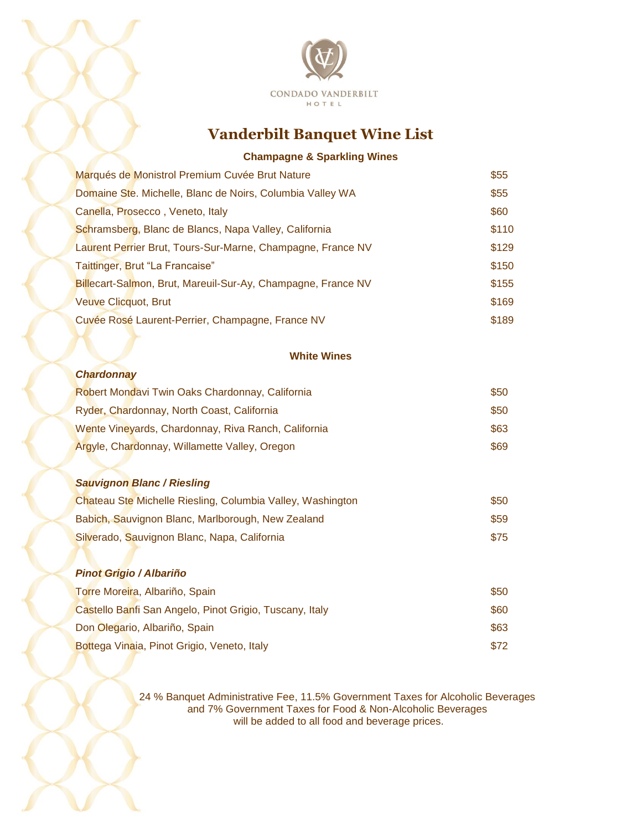

# **Vanderbilt Banquet Wine List**

## **Champagne & Sparkling Wines**

| Marqués de Monistrol Premium Cuvée Brut Nature               | \$55  |
|--------------------------------------------------------------|-------|
| Domaine Ste. Michelle, Blanc de Noirs, Columbia Valley WA    | \$55  |
| Canella, Prosecco, Veneto, Italy                             | \$60  |
| Schramsberg, Blanc de Blancs, Napa Valley, California        | \$110 |
| Laurent Perrier Brut, Tours-Sur-Marne, Champagne, France NV  | \$129 |
| Taittinger, Brut "La Francaise"                              | \$150 |
| Billecart-Salmon, Brut, Mareuil-Sur-Ay, Champagne, France NV | \$155 |
| <b>Veuve Clicquot, Brut</b>                                  | \$169 |
| Cuvée Rosé Laurent-Perrier, Champagne, France NV             | \$189 |

#### **White Wines**

#### *Chardonnay*

| Robert Mondavi Twin Oaks Chardonnay, California     | \$50 |
|-----------------------------------------------------|------|
| Ryder, Chardonnay, North Coast, California          | \$50 |
| Wente Vineyards, Chardonnay, Riva Ranch, California | \$63 |
| Argyle, Chardonnay, Willamette Valley, Oregon       | \$69 |

#### *Sauvignon Blanc / Riesling*

| Chateau Ste Michelle Riesling, Columbia Valley, Washington | \$50 |
|------------------------------------------------------------|------|
| Babich, Sauvignon Blanc, Marlborough, New Zealand          | \$59 |
| Silverado, Sauvignon Blanc, Napa, California               | \$75 |

## *Pinot Grigio / Albariño* **Torre Moreira, Albariño, Spain**  $\bullet$  50 Castello Banfi San Angelo, Pinot Grigio, Tuscany, Italy **Example 20 and Strategies** \$60 Don Olegario, Albariño, Spain **\$63** and \$63 Bottega Vinaia, Pinot Grigio, Veneto, Italy **Example 2018** 372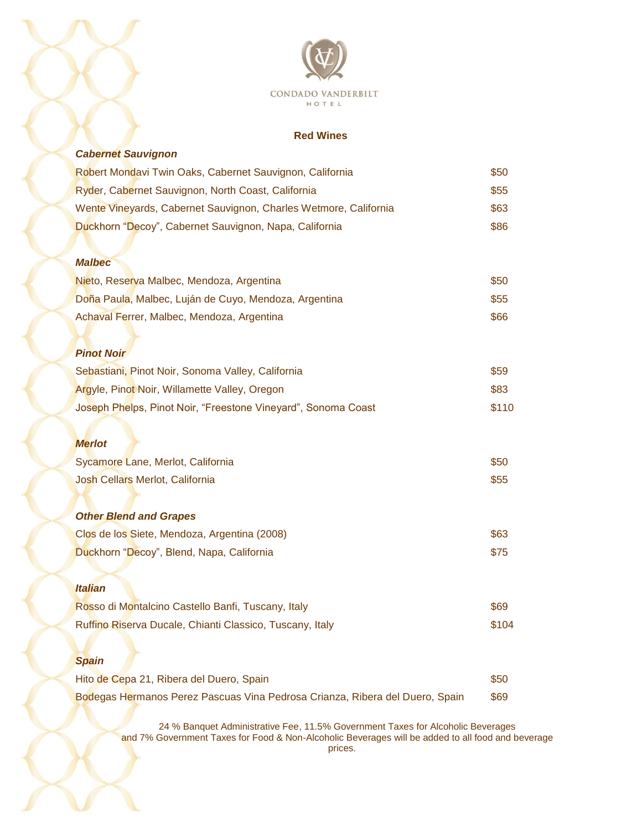

## **Red Wines**

| <b>Cabernet Sauvignon</b>                                                    |       |
|------------------------------------------------------------------------------|-------|
| Robert Mondavi Twin Oaks, Cabernet Sauvignon, California                     | \$50  |
| Ryder, Cabernet Sauvignon, North Coast, California                           | \$55  |
| Wente Vineyards, Cabernet Sauvignon, Charles Wetmore, California             | \$63  |
| Duckhorn "Decoy", Cabernet Sauvignon, Napa, California                       | \$86  |
|                                                                              |       |
| <b>Malbec</b>                                                                |       |
| Nieto, Reserva Malbec, Mendoza, Argentina                                    | \$50  |
| Doña Paula, Malbec, Luján de Cuyo, Mendoza, Argentina                        | \$55  |
| Achaval Ferrer, Malbec, Mendoza, Argentina                                   | \$66  |
|                                                                              |       |
| <b>Pinot Noir</b>                                                            |       |
| Sebastiani, Pinot Noir, Sonoma Valley, California                            | \$59  |
| Argyle, Pinot Noir, Willamette Valley, Oregon                                | \$83  |
| Joseph Phelps, Pinot Noir, "Freestone Vineyard", Sonoma Coast                | \$110 |
|                                                                              |       |
| <b>Merlot</b>                                                                |       |
| Sycamore Lane, Merlot, California                                            | \$50  |
| Josh Cellars Merlot, California                                              | \$55  |
|                                                                              |       |
| <b>Other Blend and Grapes</b>                                                |       |
| Clos de los Siete, Mendoza, Argentina (2008)                                 | \$63  |
| Duckhorn "Decoy", Blend, Napa, California                                    | \$75  |
|                                                                              |       |
| <b>Italian</b>                                                               |       |
| Rosso di Montalcino Castello Banfi, Tuscany, Italy                           | \$69  |
| Ruffino Riserva Ducale, Chianti Classico, Tuscany, Italy                     | \$104 |
|                                                                              |       |
| <b>Spain</b>                                                                 |       |
| Hito de Cepa 21, Ribera del Duero, Spain                                     | \$50  |
| Bodegas Hermanos Perez Pascuas Vina Pedrosa Crianza, Ribera del Duero, Spain | \$69  |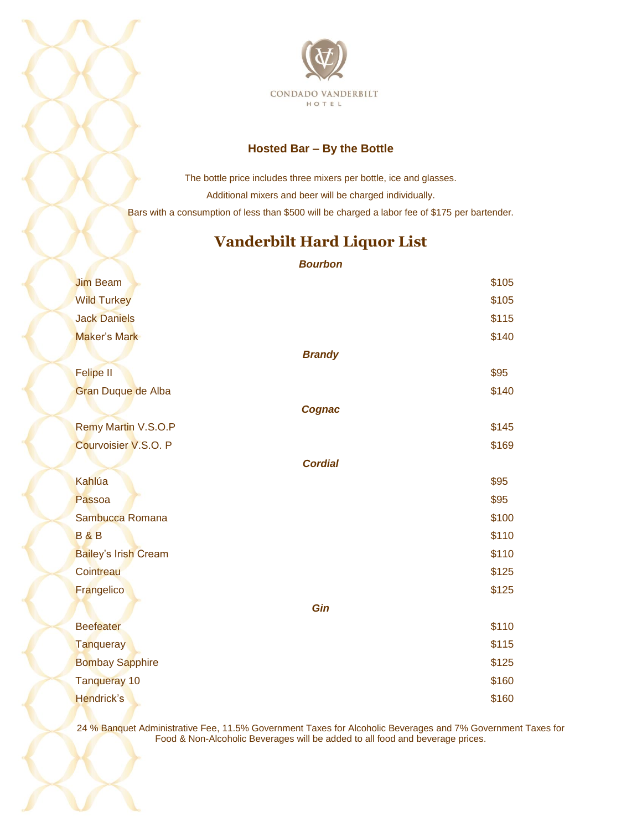

## **Hosted Bar – By the Bottle**

The bottle price includes three mixers per bottle, ice and glasses. Additional mixers and beer will be charged individually. Bars with a consumption of less than \$500 will be charged a labor fee of \$175 per bartender.

# **Vanderbilt Hard Liquor List**

*Bourbon*

| <b>Jim Beam</b>             |                | \$105 |
|-----------------------------|----------------|-------|
| <b>Wild Turkey</b>          |                | \$105 |
| <b>Jack Daniels</b>         |                | \$115 |
| Maker's Mark                |                | \$140 |
|                             | <b>Brandy</b>  |       |
| <b>Felipe II</b>            |                | \$95  |
| Gran Duque de Alba          |                | \$140 |
|                             | Cognac         |       |
| <b>Remy Martin V.S.O.P</b>  |                | \$145 |
| Courvoisier V.S.O. P        |                | \$169 |
|                             | <b>Cordial</b> |       |
| Kahlúa                      |                | \$95  |
| Passoa                      |                | \$95  |
| Sambucca Romana             |                | \$100 |
| <b>B&amp;B</b>              |                | \$110 |
| <b>Bailey's Irish Cream</b> |                | \$110 |
| Cointreau                   |                | \$125 |
| Frangelico                  |                | \$125 |
|                             | Gin            |       |
| <b>Beefeater</b>            |                | \$110 |
| <b>Tanqueray</b>            |                | \$115 |
| <b>Bombay Sapphire</b>      |                | \$125 |
| <b>Tanqueray 10</b>         |                | \$160 |
| <b>Hendrick's</b>           |                | \$160 |
|                             |                |       |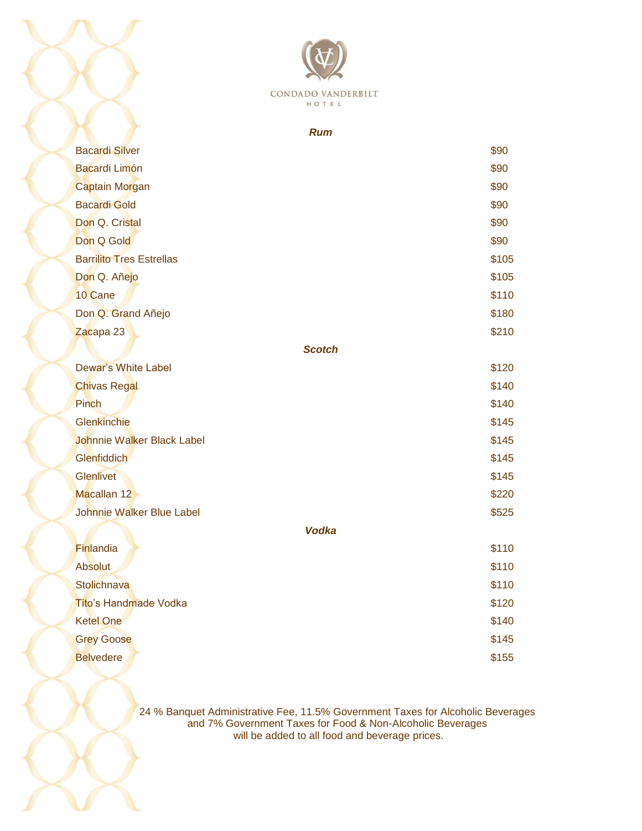

## *Rum*

| <b>Bacardi Silver</b>            | \$90          |
|----------------------------------|---------------|
| <b>Bacardi Limón</b>             | \$90          |
| <b>Captain Morgan</b>            | \$90          |
| <b>Bacardi Gold</b>              | \$90          |
| Don Q. Cristal                   | \$90          |
| Don Q Gold                       | \$90          |
| <b>Barrilito Tres Estrellas</b>  | \$105         |
| Don Q. Añejo                     | \$105         |
| 10 Cane                          | \$110         |
| Don Q. Grand Añejo               | \$180         |
| Zacapa 23                        | \$210         |
|                                  | <b>Scotch</b> |
| <b>Dewar's White Label</b>       | \$120         |
| <b>Chivas Regal</b>              | \$140         |
| <b>Pinch</b>                     | \$140         |
| Glenkinchie                      | \$145         |
| Johnnie Walker Black Label       | \$145         |
| Glenfiddich                      | \$145         |
| <b>Glenlivet</b>                 | \$145         |
| Macallan 12                      | \$220         |
| <b>Johnnie Walker Blue Label</b> | \$525         |
|                                  | <b>Vodka</b>  |
| Finlandia                        | \$110         |
| <b>Absolut</b>                   | \$110         |
| <b>Stolichnava</b>               | \$110         |
| <b>Tito's Handmade Vodka</b>     | \$120         |
| <b>Ketel One</b>                 | \$140         |
| <b>Grey Goose</b>                | \$145         |
| <b>Belvedere</b>                 | \$155         |
|                                  |               |